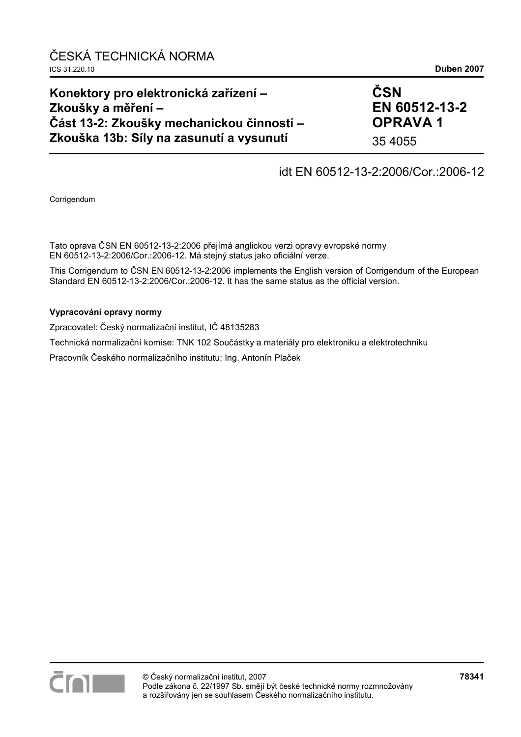### **Konektory pro elektronická zařízení – Zkoušky a měření – Část 13-2: Zkoušky mechanickou činností – Zkouška 13b: Síly na zasunutí a vysunutí**

# **ČSN EN 60512-13-2 OPRAVA 1**

35 4055

## idt EN 60512-13-2:2006/Cor.:2006-12

Corrigendum

Tato oprava ČSN EN 60512-13-2:2006 přejímá anglickou verzi opravy evropské normy EN 60512-13-2:2006/Cor.:2006-12. Má stejný status jako oficiální verze.

This Corrigendum to ČSN EN 60512-13-2:2006 implements the English version of Corrigendum of the European Standard EN 60512-13-2:2006/Cor.:2006-12. It has the same status as the official version.

#### **Vypracování opravy normy**

Zpracovatel: Český normalizační institut, IČ 48135283

Technická normalizační komise: TNK 102 Součástky a materiály pro elektroniku a elektrotechniku

Pracovník Českého normalizačního institutu: Ing. Antonín Plaček

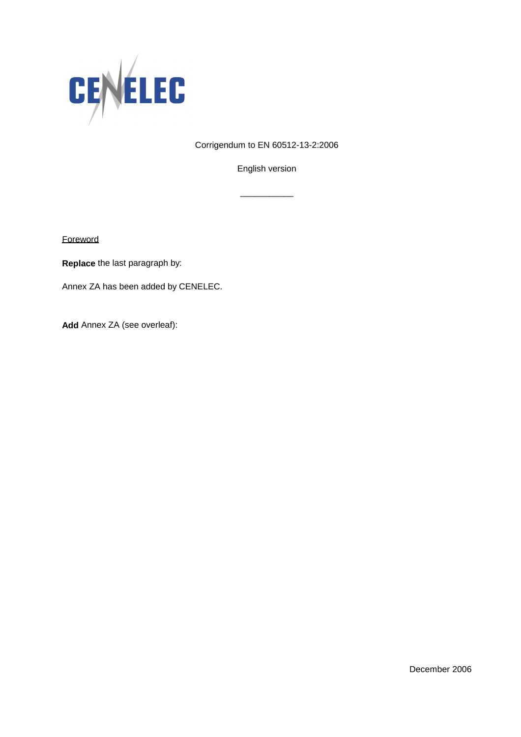

Corrigendum to EN 60512-13-2:2006

English version

\_\_\_\_\_\_\_\_\_\_\_

**Foreword** 

**Replace** the last paragraph by:

Annex ZA has been added by CENELEC.

**Add** Annex ZA (see overleaf):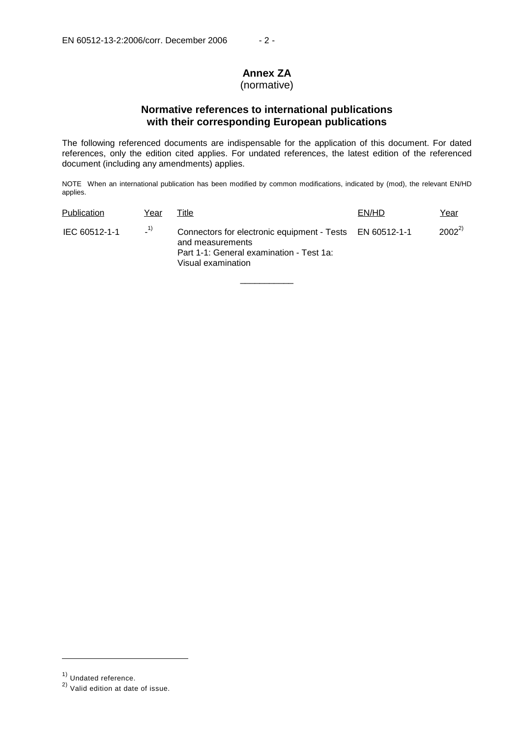# **Annex ZA**

### (normative)

### **Normative references to international publications with their corresponding European publications**

The following referenced documents are indispensable for the application of this document. For dated references, only the edition cited applies. For undated references, the latest edition of the referenced document (including any amendments) applies.

NOTE When an international publication has been modified by common modifications, indicated by (mod), the relevant EN/HD applies.

| Publication   | Year  | Title                                                                                                                                          | EN/HD | Year       |
|---------------|-------|------------------------------------------------------------------------------------------------------------------------------------------------|-------|------------|
| IEC 60512-1-1 | $-1)$ | Connectors for electronic equipment - Tests EN 60512-1-1<br>and measurements<br>Part 1-1: General examination - Test 1a:<br>Visual examination |       | $2002^{2}$ |

\_\_\_\_\_\_\_\_\_\_\_

j

<sup>1)</sup> Undated reference.

<sup>2)</sup> Valid edition at date of issue.